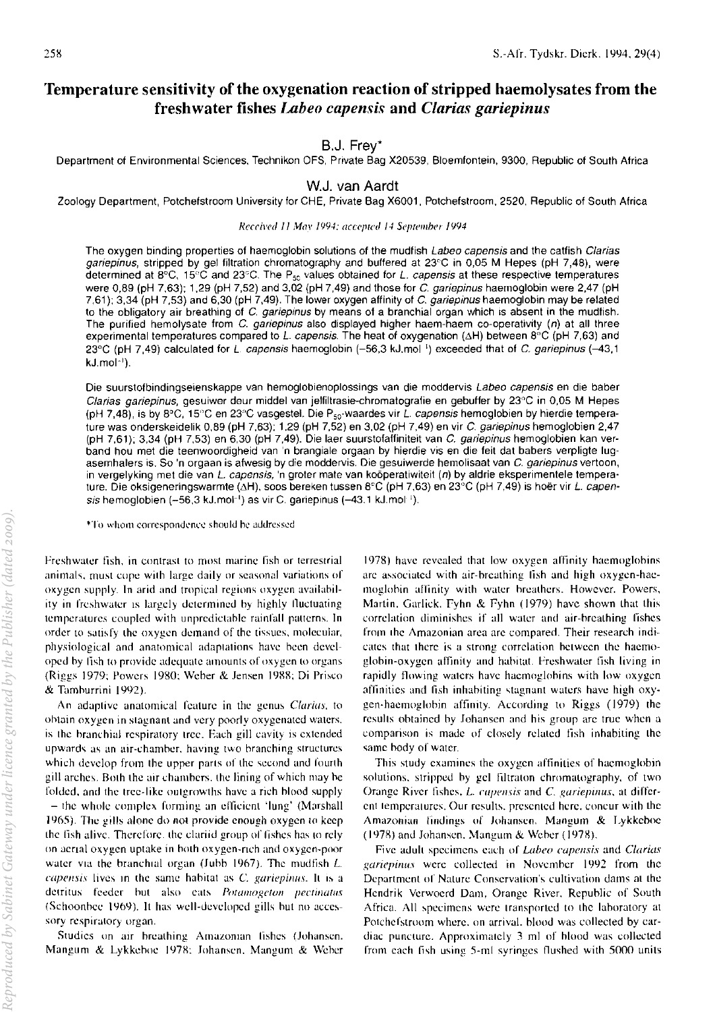# Temperature sensitivity of the oxygenation reaction of stripped haemolysates from the freshwater fishes *Labeo capensis* and *Clarias gariepinus*

## B,J. Frey'

Department of Environmental Sciences, Technikon OFS, Private Bag X20539, Bloemfontein, 9300, Republic of South Africa

WJ, van Aardt

Zoology Department, Potchefstroom University for CHE, Private Bag X6001, Potchefstroom, 2520, Republic of South Africa

#### Reccived II May 1994; accepted 14 September 1994

The oxygen binding properties of haemoglobin solutions of the mudfish Labeo capensis and the catfish Clarias gariepinus, stripped by gel filtration chromatography and buffered at 23°C in 0,05 M Hepes (pH 7,48), were determined at 8°C, 15°C and 23°C. The P<sub>50</sub> values obtained for *L. capensis* at these respective temperatures were 0,89 (pH 7,63); 1,29 (pH 7,52) and 3,02 (pH 7,49) and those for C. gariepinus haemoglobin were 2,47 (pH 7,61); 3,34 (pH 7,53) and 6,30 (pH 7,49). The lower oxygen affinity of C. gariepinus haemoglobin may be related to the obligatory air breathing of C. gariepinus by means of a branchial organ which is absent in the mudfish. The purified hemolysate from C. gariepinus also displayed higher haem-haem co-operativity (n) at all three experimental temperatures compared to *L. capensis*. The heat of oxygenation ( $\Delta H$ ) between 8°C (pH 7,63) and 23°C (pH 7,49) calculated for L. capensis haemoglobin (-56,3 kJ.mol<sup>1</sup>) exceeded that of C. gariepinus (-43,1 kJ.mol-').

Die suurstofbindingseienskappe van hemoglobienoplossings van die moddervis Labeo capensis en die baber Clarias gariepinus, gesuiwer deur middel van jelfiltrasie-chromatografie en gebuffer by 23°C in 0,05 M Hepes (pH 7,48), is by 8°C, 15°C en 23°C vasgestel. Die P<sub>50</sub>-waardes vir *L. capensis* hemoglobien by hierdie temperature was onderskeidelik 0,89 (pH 7,63); 1,29 (pH 7,52) en 3,02 (pH 7,49) en vir C. gariepinus hemoglobien 2,47 (pH 7,61); 3,34 (pH 7,53) en 6,30 (pH 7,49). Die laer suurstofaffiniteit van C. gariepinus hemoglobien kan verband hou met die teenwoordigheid van 'n brangiale orgaan by hierdie vis en die feit dat babers verpligte lugasemhalers is. So 'n orgaan is afwesig by die moddervis. Die gesuiwerde hemolisaat van C. gariepinus vertoon, in vergelyking met die van L. capensis, 'n groter mate van koöperatiwiteit (n) by aldrie eksperimentele temperature. Die oksigeneringswarmte (ΔH), soos bereken tussen 8°C (pH 7,63) en 23°C (pH 7,49) is hoër vir *L. capen*sis hemoglobien  $(-56,3 \text{ kJ.mol}^{-1})$  as vir C. gariepinus  $(-43.1 \text{ kJ.mol}^{-1})$ .

\*To whom correspondence should he addressed

freshwater fish, in contrast to most marine fish or terrestrial animals, must cope with large daily or seasonal variations of oxygen supply. In arid and tropical regions oxygen availahility in freshwater is largely determined by highly fluctuating temperatures coupled with unpredictable rainfall patterns. In order to satisfy the oxygen demand of the tissues, molecular, physiological and anatomical adaptations have been developed hy fish to provide adequate amounts of oxygen to organs (Riggs 1979; Powers 1980; Weber & Jensen 1988; Di Prisco & Tamburrini 1992).

An adaptive anatomical feature in the genus Clarias, to obtain oxygen in stagnant and very poorly oxygenated waters. is the branchial respiratory tree. Each gill cavity is extended upwards as an air-chamber, having two branching structures which develop from the upper parts of the second and fourth gill arches. Both the air chambers, the lining of which may be folded, and the tree-like outgrowths have a rich blood supply  $-$  the whole complex forming an efficient 'lung' (Marshall 1965). The gills alone do not provide enough oxygen to keep the fish alive. Therefore, the clariid group of fishes has to rely on aerial oxygen uptake in both oxygen-rich and oxygen-poor water via the branchial organ (Jubb 1967). The mudfish *L*. capensis lives in the same habitat as  $C$ . gariepinus. It is a detritus feeder but also cats Potamogeton pectinatus (Schoonbee 1969). It has well-developed gills but no accessory respiratory organ.

Studies on air breathing Amazonian fishes (Johansen, Mangum & Lykkeboe 1978: Johansen, Mangum & Weber

1978) have revcaled that low oxygen affinity haemoglohins are associated with air-breathing fish and high oxygen-haemoglobin affinity with water breathers. However. Powers, Martin, Garlick. fyhn & fyhn (1979) have shown that this correlation diminishes if all water and air-hreathing fishes from the Amazonian area are compared. Their research indicates that there is a strong correlation between the haemoglohin-oxygen affinity and hahitat. Freshwater fish living in rapidly flowing waters huve haemoglohins with low oxygen affinities and fish inhabiting stagnant waters have high oxygen-haemoglohin uffinity. According to Riggs (1979) the results obtained by Johansen and his group are true when a comparison is made of closely related fish inhabiting the same hody of water.

This study examines the oxygen affinities of haemoglobin solutions, stripped by gel filtraton chromatography, of two Orange River fishes, *L. capensis* and *C. gariepinus*, at different temperatures. Our results, presented here, concur with the Amazonian findings of Johansen, Mangum & Lykkeboe (1978) and Johansen. Mangum & Weber (1978).

Five adult specimens each of Labeo capensis and Clarias gariepinus were collected in November 1992 from the Department of Nature Conservation's cultivation dams at the Hcndrik Verwoerd Dam, Orange River, Repuhlic of South Africa. All specimens were transported to the laboratory at Potchefstroom where, on arrival, blood was collected by cardiac puncture. Approximately 3 ml of blood was collected from each fish using 5-ml syringes flushed with 5000 units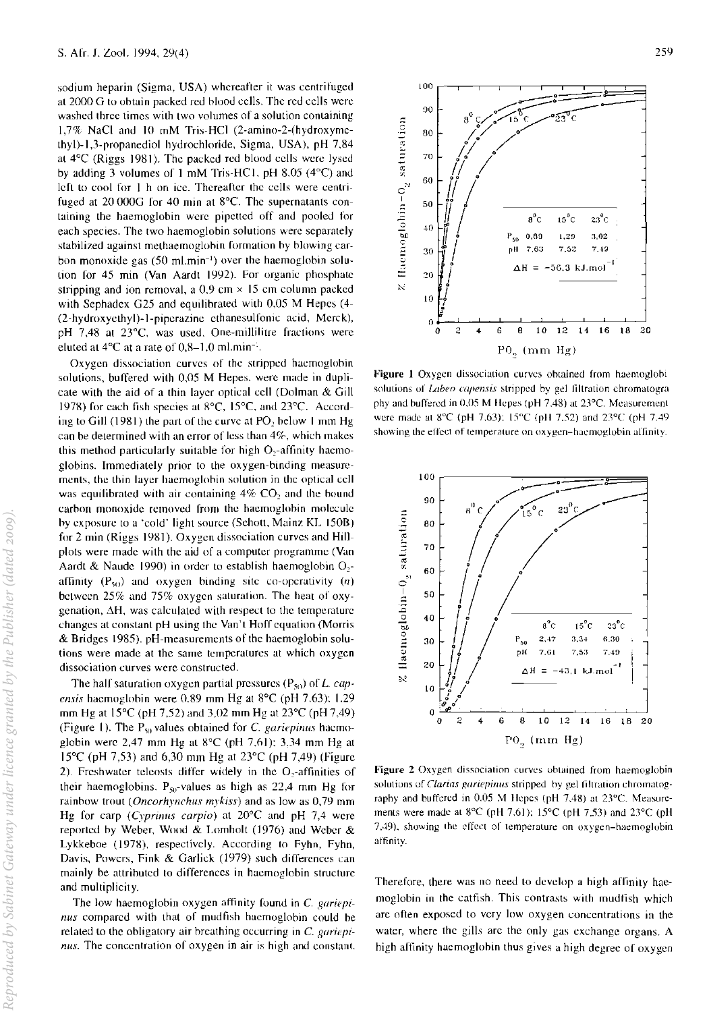sodium heparin (Sigma. USA) whereafter it was centrifuged at 2000 G to obtain packed red blood cells. The red cells were washed three times with two volumes of a solution containing 1.7% NaCi and 10 mM Tris-HCI (2-amino-2-(hydroxymethyl)-I,3-propanediol hydrochloride, Sigma, USA), pH 7,84 at 4"C (Riggs 1981). The packed red blood cells were lysed by adding 3 volumes of 1 mM Tris-HC1. pH 8,05  $(4^{\circ}C)$  and left to cool for I h on icc. Thereafter the cells were centrifuged at 20 000G for 40 min at 8°C. The supernatants containing the haemoglobin were pipetted off and pooled for each species. The two haemoglobin solutions were separately stabilized against melhaemogiohin formation by blowing carbon monoxide gas (50 ml.min<sup>-1</sup>) over the haemoglobin solution for 45 min (Van Aardt 1992). For organic phosphate stripping and ion removal, a  $0.9$  cm  $\times$  15 cm column packed with Sephadex G25 and equilibrated with 0,05 M Hepes (4-(2-hydroxyethyl)-I-piperazine ethanesulfomc acid, Merck), pH 7,48 at 23°C, was used. One-millilitre fractions were eluted at  $4^{\circ}$ C at a rate of  $0.8-1.0$  ml.min<sup>-1</sup>.

Oxygen dissociation curves of the stripped haemoglohin solutions, buffered with 0,05 M Hepes, were made in duplicate with the aid of a thin layer optical cell (Dolman & Gill 1978) for each fish species at  $8^{\circ}$ C, 15 $^{\circ}$ C, and 23 $^{\circ}$ C. According to Gill (1981) the part of the curve at PO, below 1 mm Hg can be determined with an error of less than 4%, which makes this method particularly suitable for high O,-affmity haemoglobins. Immediately prior to the oxygen-binding measurements, the thin layer haemoglohin solution in the optical cell was equilibrated with air containing  $4\%$  CO<sub>2</sub> and the bound carbon monoxide removed from the haemoglohin molecule hy exposure to a 'cold' light source (Schott, Mainz KL 150B) for 2 min (Riggs 1981). Oxygen dissociation curves and Hillplots were made with the aid of a computer programme (Van Aardt & Naude 1990) in order to establish haemoglobin  $O_2$ affinity  $(P_{50})$  and oxygen binding site co-operativity  $(n)$ between 25% and *757c* oxygen saturation. The heat of oxy $g$ enation,  $\Delta H$ , was calculated with respect to the temperature changes at constant pH using the Van't Hoff equation (Morris & Bridges 1985). pH-measurements of the haemoglobin solutions were made at the same temperatures at which oxygen dissociation curves were constructed.

The half saturation oxygen partial pressures  $(P_{50})$  of *L. capensis* haemoglobin were 0.89 mm Hg at 8°C (pH 7.63): 1.29 mm Hg at  $15^{\circ}$ C (pH 7,52) and 3,02 mm Hg at  $23^{\circ}$ C (pH 7,49) (Figure 1). The  $P_{50}$  values obtained for C, gariepinus haemoglobin were 2,47 mm Hg at  $8^{\circ}$ C (pH 7,61); 3,34 mm Hg at 15"C (pH 7,53) and 6,30 mm Hg at 23°C (pH 7,49) (Figure 2). Freshwater teleosts differ widely in the O<sub>2</sub>-affinities of their haemoglobins.  $P_{50}$ -values as high as 22.4 mm Hg for rainhow trout (Oncorhynchus *mykiss)* and as low as 0,79 mm Hg for carp (Cyprinus carpio) at  $20^{\circ}$ C and pH 7,4 were reported by Weber, Wood & Lomholt (1976) and Weber & Lykkeboe (1978), respectively. According to Fyhn, Fyhn, Davis, Powers, Fink & Garlick (1979) such differences can mainly be attrihuted to differences in haemoglobin structure and multiplicity.

The low haemoglobin oxygen affinity found in C *gariepinus* compared with that of mudfish haemoglobin could be related to the obligatory air breathing occurring in *C. gariepinus*. The concentration of oxygen in air is high and constant.



Figure 1 Oxygen dissociation curves obtained from haemoglobi solutions of *Labeo capensis* stripped by gel filtration chromatogra phy and buffered in 0,05 M Hepes (pH 7,48) at 23°C. Measurement were made at  $8^{\circ}$ C (pH 7.63):  $15^{\circ}$ C (pH 7.52) and 23 $^{\circ}$ C (pH 7.49 showing the effect of temperature on oxygen-haemoglobin allinity.



Figure 2 Oxygen dissociation curves oblained from haemoglobin solutions of *Clarias gariepinus* stripped by gel filtration chromatography and buffered in 0.05 M Hepes (pH 7,48) at 23°C. Measurements were made at 8°C (pH 7.61): 15°C (pH 7,53) and 23°C (pH 7,49), showing the effect of temperature on oxygen-haemoglobin affinity.

Therefore, there was no need to develop a high affinity haemoglobin in the catfish. This contrasts with mudtish which are often exposed to very low oxygen concentrations in the water, where the gills arc the only gas exchange organs. A high affinity haemoglobin thus gives a high degree of oxygen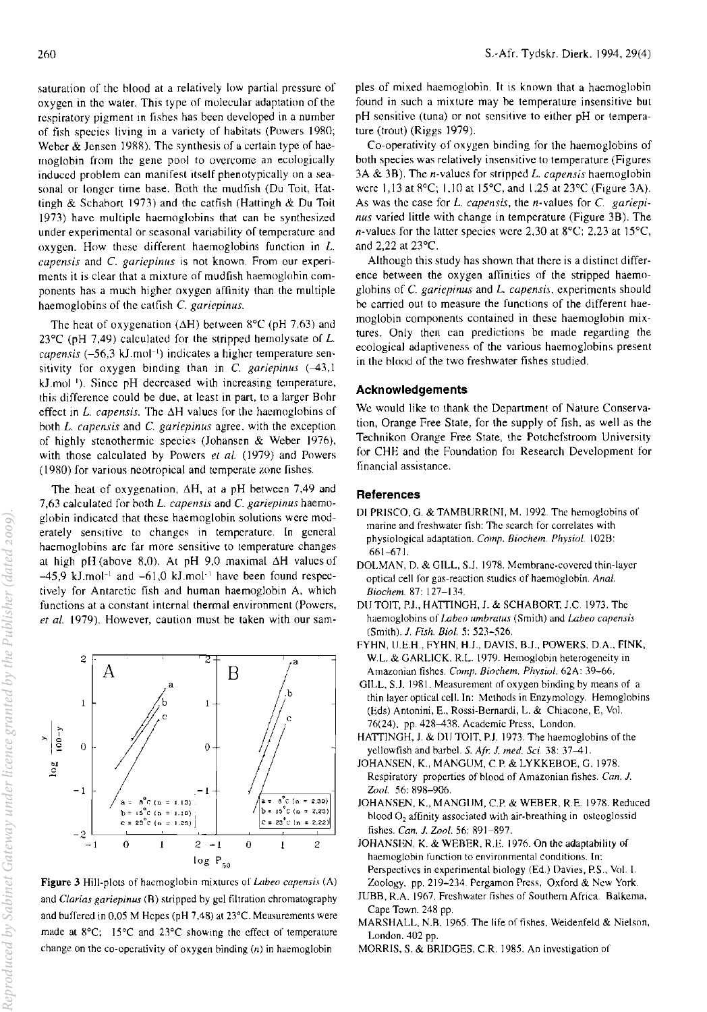saturation of the hlood at a relatively low partial pressure of oxygen in the water. This type of molecular adaptation of the respiratory pigment in fishes has been developed in a number of fish species living in a variety of habitats (Powers 1980; Weber & Jensen 1988). The synthesis of a certain type of haemoglobin from the gene pool to overcome an ecologically induced problem can manifest itself phenotypically on a seasonal or longer time base. Both the mudfish (Du Toit, Hattingh & Schahort 1973) and the catfish (Hattingh & Du Toit 1973) have multiple haemoglohins that can he synthesized under experimental or seasonal variability of temperature and oxygen. How these different haemoglobins function in L. capensis and C. gariepinus is not known. From our experiments it is clear that a mixture of mudfish haemoglobin components has a much higher oxygen affinity than the multiple haemoglobins of the catfish C. *gariepinus.* 

The heat of oxygenation ( $\Delta H$ ) between 8°C (pH 7,63) and 23 $^{\circ}$ C (pH 7,49) calculated for the stripped hemolysate of L. capensis (–56,3 kJ.mol<sup>-1</sup>) indicates a higher temperature sensitivity for oxygen binding than in C. *gariepinus*  $(-43,1)$ kJ.mol<sup>1</sup>). Since pH decreased with increasing temperature, this difference could be due, at least in part, to a larger Bohr effect in *L. capensis*. The  $\Delta H$  values for the haemoglobins of both *L. capensis* and C. *gariepinus* agree. with the exception of highly stenothermic species (Johansen & Weber 1976), with those calculated hy Powers el *al.* (1979) and Powers (19RO) for various neotropical and temperate zone fishes.

The heat of oxygenation,  $\Delta H$ , at a pH between 7,49 and 7,63 calculated for oolh *L. capensis* and C *gariepinus* haemoglobin indicated that these haemoglobin solutions were moderately sensitive to changes in temperature. In general haemoglobins are far more sensitive to temperature changes at high pH (above 8,0). At pH 9,0 maximal  $\Delta H$  values of  $-45.9$  kJ.mol<sup>-1</sup> and  $-61.0$  kJ.mol<sup>-1</sup> have been found respectively for Antarctic fish and human haemoglobin A, which functions at a constant internal thermal environment (Powers, *et at.* 1979). However, caution must be taken with our sam·



Figure 3 Hill-plots of haemoglobin mixtures of *Labeo capensis* (A) and *Ciarias gariepinus* (R) stripped by gel filtration chromatography and buffered in 0,05 M Hepes (pH 7,48) at 23°C. Measurements were made at 8°C; 15°C and 23°C showing the effect of temperature change on the co-operativity of oxygen binding  $(n)$  in haemoglobin

pies of mixed haemoglobin. It is known that a haemoglobin found in such a mixture may he temperature insensitive but pH sensitive (tuna) or not sensitive to either pH or temperature (trout) (Riggs 1979).

Co-operativity of oxygen binding for the haemoglobins of both species was relatively insensitive to temperature (Figures 3A & 3B). The n-values for stripped L. *capen sis* haemoglobin were 1,13 at 8°C; 1,10 at 15°C, and 1,25 at 23°C (Figure 3A). As was the case for *L. capensis,* the n·values for C. *gariepinus* varied little with change in temperature (Figure 3B). The n-values for the latter species were 2,30 at  $8^{\circ}$ C; 2,23 at 15 $^{\circ}$ C, and 2,22 at 23'C.

Although this study has shown that there is a distinct difference between the oxygen affinities of the stripped haemoglobins of C. *gariepinus* and *L. capensis.* experiments should he carried out to measure the functions of the different haemoglobin components contained in these haemoglobin mixtures. Only then can predictions be made regarding the ecological adaptiveness of the various haemoglobins present in the blood of the two freshwater fishes studied.

## Acknowledgements

We would like to thank the Department of Nature Conservation, Orange Free State, for the supply of fish, as well as the Technikon Orange Free State, the Potchcfstroom University for CHE and the Foundation for Research Development for financial assistance.

### **References**

- DI PRISCO. G. & TAMBURRINI, M. 1992. The hemoglobins of marine and freshwater fish: The search for correlates with physiological adaptation. *Camp. Biochem. Physiol.* I02B: 661-671.
- DOLMAN, D. & GILL, S.J. 1978. Membrane-covered thin-layer optical cell for gas-reaction studies of haemoglobin. *Anal. Biochem.* 87: 127-134.
- DU TOIT, PJ., HATTINGH, J. & SCHABORT. J.C 1973. The haemoglobins of *Labeo umbra/us* (Smith) and *Labeo capensis*  (Smith). 1. *Fish. Bioi.* 5: 521-526.
- fYHN, U.E-H .. fYHN. H.J., DAVIS, B.J., POWERS, D.A., fINK, W.L. & GARLICK, R.L. 1979. Hemoglobin heterogeneity in Amazonian tishes. *Camp. Biochem. Phvsiol.* 62A: 39-66.
- GILL. S.l 1981. Measurement of oxygen binding by means of a thin layer optical cell. In: Methods in Enzymology. Hemoglobins (Eds) Antonini, E., Rossi-Bernardi, L. & Chiacone, E, Vol. 76(24), pp. 428-438. Academic Press, London.
- HATTINGH, J. & DU TOIT. P.J. 1973. The haemoglobins of the yelJowfish and barbel. S. *AIr.* 1. *med. Sci.* 38: 37-41.
- JOHANSEN, K., MANGUM, C.P. & LYKKEBOE, G. 1978. Respiratory properties of blood of Amazonian fishes. *Can. 1.*  Zool. 56: 898-906.
- JOHANSEN, K., MANGUM, c.P. & WEBER, R.E. 1978. Reduced blood  $O<sub>2</sub>$  affinity associated with air-breathing in osteoglossid fishes. *Can.* 1. *Zool.* 56: 891-897.
- JOHANSEN, K. & WEBER, R.E. 1976. On the adaptability of haemoglobin function to environmental conditions. In: Perspectives in experimental biology (Ed.) Davies, P.S., Vol. I. Zoology, pp. 219-234. Pergamon Press, Oxford & New York.
- *lUBB,* R.A. 1967. Freshwater fishes of Southern Africa. Balkcma, Cape Town. 248 pp.
- MARSHALL, N.R. 1965. The life of fishes. Weidenfeld & Nielson, London. 402 pp.
- MORRIS, S. & BRIDGES, c.R. 1985. An investigation of